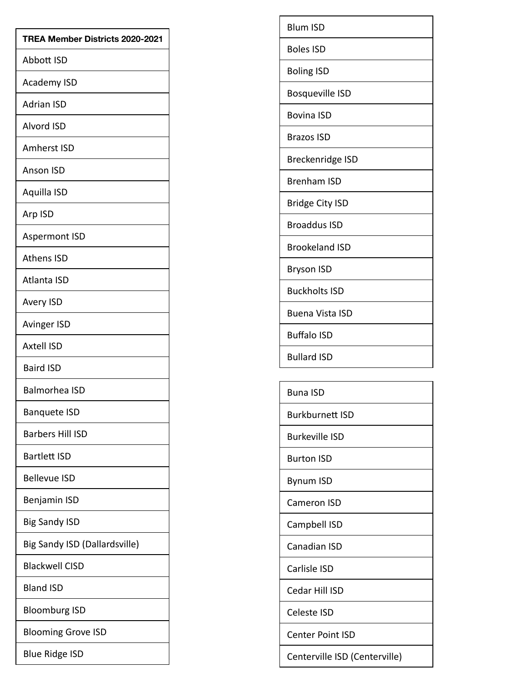| TREA Member Districts 2020-2021 |
|---------------------------------|
| Abbott ISD                      |
| <b>Academy ISD</b>              |
| <b>Adrian ISD</b>               |
| Alvord ISD                      |
| <b>Amherst ISD</b>              |
| <b>Anson ISD</b>                |
| Aquilla ISD                     |
| Arp ISD                         |
| <b>Aspermont ISD</b>            |
| <b>Athens ISD</b>               |
| Atlanta ISD                     |
| <b>Avery ISD</b>                |
| <b>Avinger ISD</b>              |
| <b>Axtell ISD</b>               |
| <b>Baird ISD</b>                |
| <b>Balmorhea ISD</b>            |
| <b>Banquete ISD</b>             |
| <b>Barbers Hill ISD</b>         |
| Bartlett ISD                    |
| <b>Bellevue ISD</b>             |
| Benjamin ISD                    |
| <b>Big Sandy ISD</b>            |
| Big Sandy ISD (Dallardsville)   |
| <b>Blackwell CISD</b>           |
| <b>Bland ISD</b>                |
| <b>Bloomburg ISD</b>            |
| <b>Blooming Grove ISD</b>       |
| <b>Blue Ridge ISD</b>           |

| <b>Blum ISD</b>        |
|------------------------|
| <b>Boles ISD</b>       |
| <b>Boling ISD</b>      |
| <b>Bosqueville ISD</b> |
| <b>Bovina ISD</b>      |
| <b>Brazos ISD</b>      |
| Breckenridge ISD       |
| Brenham ISD            |
| <b>Bridge City ISD</b> |
| <b>Broaddus ISD</b>    |
| <b>Brookeland ISD</b>  |
| <b>Bryson ISD</b>      |
| <b>Buckholts ISD</b>   |
| Buena Vista ISD        |
| Buffalo ISD            |
| <b>Bullard ISD</b>     |

| Buna ISD        |
|-----------------|
| Burkburnett ISD |
| Burkeville ISD  |
| Burton ISD      |
| Bynum ISD       |
| Cameron ISD     |
| Campbell ISD    |
| Canadian ISD    |
| Carlisle ISD    |
| Cedar Hill ISD  |
| Celeste ISD     |
|                 |

Centerville ISD (Centerville)

Center Point ISD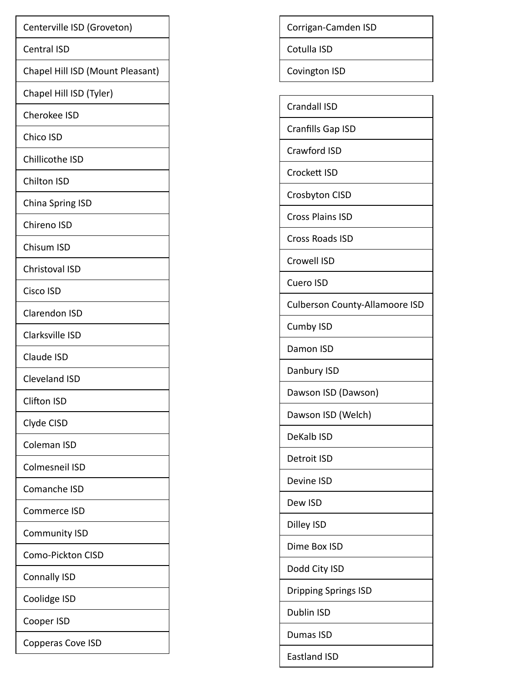| Centerville ISD (Groveton)       |
|----------------------------------|
| <b>Central ISD</b>               |
| Chapel Hill ISD (Mount Pleasant) |
| Chapel Hill ISD (Tyler)          |
| <b>Cherokee ISD</b>              |
| Chico ISD                        |
| Chillicothe ISD                  |
| <b>Chilton ISD</b>               |
| China Spring ISD                 |
| Chireno ISD                      |
| Chisum ISD                       |
| Christoval ISD                   |
| Cisco ISD                        |
| <b>Clarendon ISD</b>             |
| Clarksville ISD                  |
| Claude ISD                       |
| <b>Cleveland ISD</b>             |
| Clifton ISD                      |
| Clyde CISD                       |
| Coleman ISD                      |
| Colmesneil ISD                   |
| Comanche ISD                     |
| Commerce ISD                     |
| <b>Community ISD</b>             |
| Como-Pickton CISD                |
| <b>Connally ISD</b>              |
| Coolidge ISD                     |
| Cooper ISD                       |
| Copperas Cove ISD                |
|                                  |

Corrigan-Camden ISD

Cotulla ISD

Covington ISD

Crandall ISD

Cranfills Gap ISD

Crawford ISD

Crockett ISD

Crosbyton CISD

Cross Plains ISD

Cross Roads ISD

Crowell ISD

Cuero ISD

**Culberson County-Allamoore ISD** 

Cumby ISD

Damon ISD

Danbury ISD

Dawson ISD (Dawson)

Dawson ISD (Welch)

DeKalb ISD

Detroit ISD

Devine ISD

Dew ISD

Dilley ISD

Dime Box ISD

Dodd City ISD

**Dripping Springs ISD** 

Dublin ISD

Dumas ISD

Eastland ISD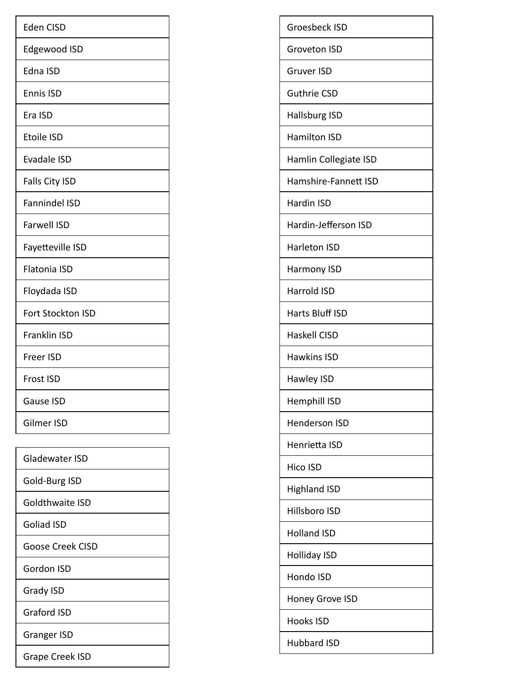| <b>Eden CISD</b>         |
|--------------------------|
| Edgewood ISD             |
| Edna ISD                 |
| <b>Ennis ISD</b>         |
| Era ISD                  |
| <b>Etoile ISD</b>        |
| <b>Evadale ISD</b>       |
| Falls City ISD           |
| <b>Fannindel ISD</b>     |
| <b>Farwell ISD</b>       |
| Fayetteville ISD         |
| <b>Flatonia ISD</b>      |
| Floydada ISD             |
| <b>Fort Stockton ISD</b> |
| <b>Franklin ISD</b>      |
| <b>Freer ISD</b>         |
| <b>Frost ISD</b>         |
| <b>Gause ISD</b>         |
| Gilmer ISD               |
|                          |
| Gladewater ISD           |
| Gold-Burg ISD            |
| Goldthwaite ISD          |
| <b>Goliad ISD</b>        |
| <b>Goose Creek CISD</b>  |
| <b>Gordon ISD</b>        |
| Grady ISD                |
| <b>Graford ISD</b>       |
| <b>Granger ISD</b>       |
| Grape Creek ISD          |
|                          |

| Groesbeck ISD         |
|-----------------------|
| Groveton ISD          |
| Gruver ISD            |
| <b>Guthrie CSD</b>    |
| Hallsburg ISD         |
| <b>Hamilton ISD</b>   |
| Hamlin Collegiate ISD |
| Hamshire-Fannett ISD  |

Hardin ISD

Hardin-Jefferson ISD

Harleton ISD

Harmony ISD

Harrold ISD

Harts Bluff ISD

Haskell CISD

Hawkins ISD

Hawley ISD

Hemphill ISD

Henderson ISD

Henrietta ISD

Hico ISD

**Highland ISD** 

Hillsboro ISD

**Holland ISD** 

**Holliday ISD** 

Hondo ISD

Honey Grove ISD

Hooks ISD

Hubbard ISD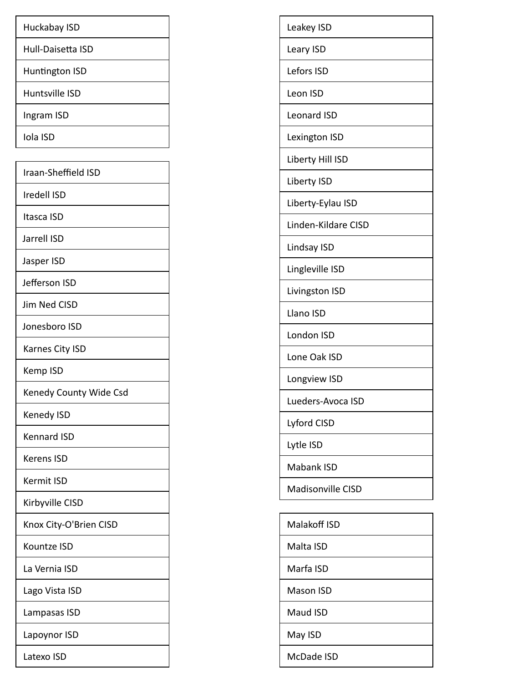| Huckabay ISD      |
|-------------------|
| Hull-Daisetta ISD |
| Huntington ISD    |
| Huntsville ISD    |
| Ingram ISD        |
| Iola ISD          |

| Iraan-Sheffield ISD    |
|------------------------|
| Iredell ISD            |
| Itasca ISD             |
| Jarrell ISD            |
| Jasper ISD             |
| Jefferson ISD          |
| Jim Ned CISD           |
| Jonesboro ISD          |
| Karnes City ISD        |
| Kemp ISD               |
| Kenedy County Wide Csd |
| Kenedy ISD             |
| <b>Kennard ISD</b>     |
| <b>Kerens ISD</b>      |
| <b>Kermit ISD</b>      |
| Kirbyville CISD        |
| Knox City-O'Brien CISD |
| Kountze ISD            |
| La Vernia ISD          |
| Lago Vista ISD         |
| Lampasas ISD           |
| Lapoynor ISD           |
| Latexo ISD             |
|                        |

| Leakey ISD               |
|--------------------------|
| Leary ISD                |
| Lefors ISD               |
| Leon ISD                 |
| <b>Leonard ISD</b>       |
| Lexington ISD            |
| Liberty Hill ISD         |
| Liberty ISD              |
| Liberty-Eylau ISD        |
| Linden-Kildare CISD      |
| Lindsay ISD              |
| Lingleville ISD          |
| Livingston ISD           |
| Llano ISD                |
| London ISD               |
| Lone Oak ISD             |
| Longview ISD             |
| Lueders-Avoca ISD        |
| Lyford CISD              |
| Lytle ISD                |
| Mabank ISD               |
| <b>Madisonville CISD</b> |
|                          |
| Malakoff ISD             |
| Malta ISD                |
| Marfa ISD                |
| Mason ISD                |
| Maud ISD                 |
| May ISD                  |
| McDade ISD               |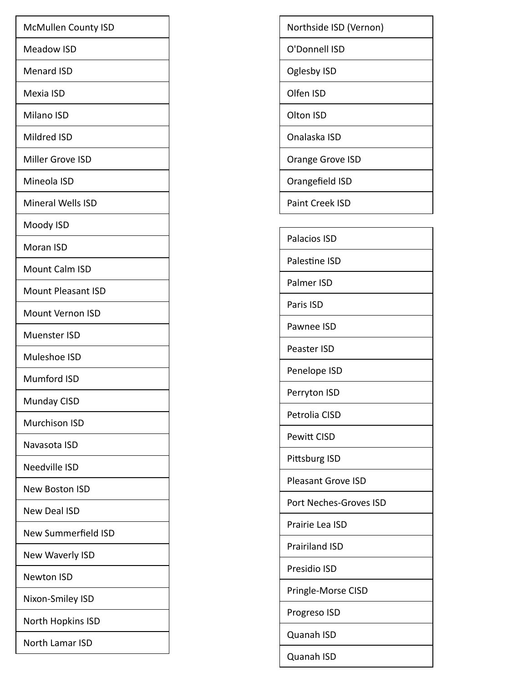| Meadow ISD<br><b>Menard ISD</b><br>Mexia ISD<br>Milano ISD<br>Mildred ISD<br>Miller Grove ISD<br>Mineola ISD<br><b>Mineral Wells ISD</b><br>Moody ISD<br>Moran ISD<br><b>Mount Calm ISD</b><br><b>Mount Pleasant ISD</b><br><b>Mount Vernon ISD</b><br>Muenster ISD<br>Muleshoe ISD<br><b>Mumford ISD</b><br>Munday CISD<br><b>Murchison ISD</b><br>Navasota ISD<br>Needville ISD<br>New Boston ISD<br><b>New Deal ISD</b><br><b>New Summerfield ISD</b><br>New Waverly ISD<br>Newton ISD<br>Nixon-Smiley ISD<br>North Hopkins ISD<br>North Lamar ISD | <b>McMullen County ISD</b> |
|-------------------------------------------------------------------------------------------------------------------------------------------------------------------------------------------------------------------------------------------------------------------------------------------------------------------------------------------------------------------------------------------------------------------------------------------------------------------------------------------------------------------------------------------------------|----------------------------|
|                                                                                                                                                                                                                                                                                                                                                                                                                                                                                                                                                       |                            |
|                                                                                                                                                                                                                                                                                                                                                                                                                                                                                                                                                       |                            |
|                                                                                                                                                                                                                                                                                                                                                                                                                                                                                                                                                       |                            |
|                                                                                                                                                                                                                                                                                                                                                                                                                                                                                                                                                       |                            |
|                                                                                                                                                                                                                                                                                                                                                                                                                                                                                                                                                       |                            |
|                                                                                                                                                                                                                                                                                                                                                                                                                                                                                                                                                       |                            |
|                                                                                                                                                                                                                                                                                                                                                                                                                                                                                                                                                       |                            |
|                                                                                                                                                                                                                                                                                                                                                                                                                                                                                                                                                       |                            |
|                                                                                                                                                                                                                                                                                                                                                                                                                                                                                                                                                       |                            |
|                                                                                                                                                                                                                                                                                                                                                                                                                                                                                                                                                       |                            |
|                                                                                                                                                                                                                                                                                                                                                                                                                                                                                                                                                       |                            |
|                                                                                                                                                                                                                                                                                                                                                                                                                                                                                                                                                       |                            |
|                                                                                                                                                                                                                                                                                                                                                                                                                                                                                                                                                       |                            |
|                                                                                                                                                                                                                                                                                                                                                                                                                                                                                                                                                       |                            |
|                                                                                                                                                                                                                                                                                                                                                                                                                                                                                                                                                       |                            |
|                                                                                                                                                                                                                                                                                                                                                                                                                                                                                                                                                       |                            |
|                                                                                                                                                                                                                                                                                                                                                                                                                                                                                                                                                       |                            |
|                                                                                                                                                                                                                                                                                                                                                                                                                                                                                                                                                       |                            |
|                                                                                                                                                                                                                                                                                                                                                                                                                                                                                                                                                       |                            |
|                                                                                                                                                                                                                                                                                                                                                                                                                                                                                                                                                       |                            |
|                                                                                                                                                                                                                                                                                                                                                                                                                                                                                                                                                       |                            |
|                                                                                                                                                                                                                                                                                                                                                                                                                                                                                                                                                       |                            |
|                                                                                                                                                                                                                                                                                                                                                                                                                                                                                                                                                       |                            |
|                                                                                                                                                                                                                                                                                                                                                                                                                                                                                                                                                       |                            |
|                                                                                                                                                                                                                                                                                                                                                                                                                                                                                                                                                       |                            |
|                                                                                                                                                                                                                                                                                                                                                                                                                                                                                                                                                       |                            |
|                                                                                                                                                                                                                                                                                                                                                                                                                                                                                                                                                       |                            |
|                                                                                                                                                                                                                                                                                                                                                                                                                                                                                                                                                       |                            |

Northside ISD (Vernon)

Oglesby ISD

O'Donnell ISD

Olfen ISD

Olton ISD

Onalaska ISD

Orange Grove ISD

Orang efield ISD

Paint Creek ISD

Palacios ISD

Palestine ISD

Palmer ISD

Paris ISD

Pawnee ISD

Peaster ISD

Penelope ISD

Perryton ISD

Petrolia CISD

Pewitt CISD

Pittsburg ISD

Pleasant Grove ISD

Port Neches-Groves ISD

Prairie Lea ISD

Prairiland ISD

Presidio ISD

Pringle-Morse CISD

Progreso ISD

Quanah ISD

Quanah ISD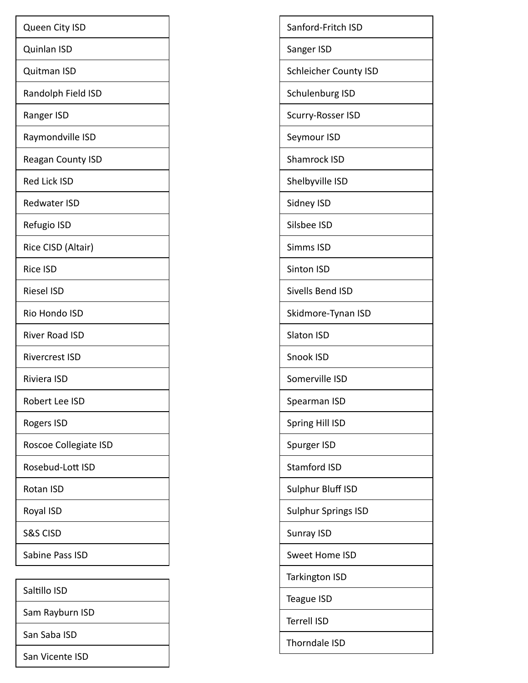| Queen City ISD           |
|--------------------------|
| Quinlan ISD              |
| Quitman ISD              |
| Randolph Field ISD       |
| Ranger ISD               |
| Raymondville ISD         |
| <b>Reagan County ISD</b> |
| <b>Red Lick ISD</b>      |
| <b>Redwater ISD</b>      |
| Refugio ISD              |
| Rice CISD (Altair)       |
| <b>Rice ISD</b>          |
| <b>Riesel ISD</b>        |
| Rio Hondo ISD            |
| <b>River Road ISD</b>    |
| <b>Rivercrest ISD</b>    |
| Riviera ISD              |
| Robert Lee ISD           |
| Rogers ISD               |
| Roscoe Collegiate ISD    |
| Rosebud-Lott ISD         |
| Rotan ISD                |
| Royal ISD                |
| <b>S&amp;S CISD</b>      |
| Sabine Pass ISD          |
|                          |
| Saltillo ISD             |
| Sam Rayburn ISD          |
| San Saba ISD             |

San Vicente ISD

| Sanford-Fritch ISD           |
|------------------------------|
| Sanger ISD                   |
| <b>Schleicher County ISD</b> |
| Schulenburg ISD              |
| Scurry-Rosser ISD            |
| Seymour ISD                  |
| Shamrock ISD                 |
| Shelbyville ISD              |
| Sidney ISD                   |
| Silsbee ISD                  |
| Simms ISD                    |
| Sinton ISD                   |
| Sivells Bend ISD             |
| Skidmore-Tynan ISD           |
| <b>Slaton ISD</b>            |
| Snook ISD                    |
| Somerville ISD               |
| Spearman ISD                 |
| Spring Hill ISD              |
| Spurger ISD                  |
| <b>Stamford ISD</b>          |
| Sulphur Bluff ISD            |
| Sulphur Springs ISD          |
| Sunray ISD                   |
| Sweet Home ISD               |
| <b>Tarkington ISD</b>        |
| Teague ISD                   |
| Terrell ISD                  |
| Thorndale ISD                |